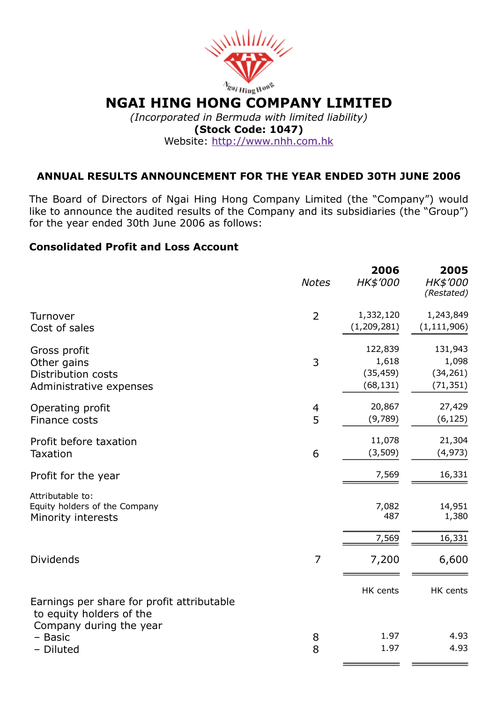

*(Incorporated in Bermuda with limited liability)* (Stock Code: 1047) Website: [http://www.nhh.com.hk](http://www.nhh.com.hk/)

# ANNUAL RESULTS ANNOUNCEMENT FOR THE YEAR ENDED 30TH JUNE 2006

The Board of Directors of Ngai Hing Hong Company Limited (the "Company") would like to announce the audited results of the Company and its subsidiaries (the "Group") for the year ended 30th June 2006 as follows:

# Consolidated Profit and Loss Account

|                                                                                                   | <b>Notes</b>        | 2006<br>HK\$'000                           | 2005<br>HK\$'000<br>(Restated)             |
|---------------------------------------------------------------------------------------------------|---------------------|--------------------------------------------|--------------------------------------------|
| Turnover<br>Cost of sales                                                                         | $\overline{2}$      | 1,332,120<br>(1, 209, 281)                 | 1,243,849<br>(1, 111, 906)                 |
| Gross profit<br>Other gains<br>Distribution costs<br>Administrative expenses                      | 3                   | 122,839<br>1,618<br>(35, 459)<br>(68, 131) | 131,943<br>1,098<br>(34, 261)<br>(71, 351) |
| Operating profit<br>Finance costs                                                                 | $\overline{4}$<br>5 | 20,867<br>(9,789)                          | 27,429<br>(6, 125)                         |
| Profit before taxation<br><b>Taxation</b>                                                         | 6                   | 11,078<br>(3,509)                          | 21,304<br>(4, 973)                         |
| Profit for the year                                                                               |                     | 7,569                                      | 16,331                                     |
| Attributable to:<br>Equity holders of the Company<br>Minority interests                           |                     | 7,082<br>487                               | 14,951<br>1,380                            |
|                                                                                                   |                     | 7,569                                      | 16,331                                     |
| <b>Dividends</b>                                                                                  | 7                   | 7,200                                      | 6,600                                      |
| Earnings per share for profit attributable<br>to equity holders of the<br>Company during the year |                     | HK cents                                   | HK cents                                   |
| - Basic<br>- Diluted                                                                              | 8<br>8              | 1.97<br>1.97                               | 4.93<br>4.93                               |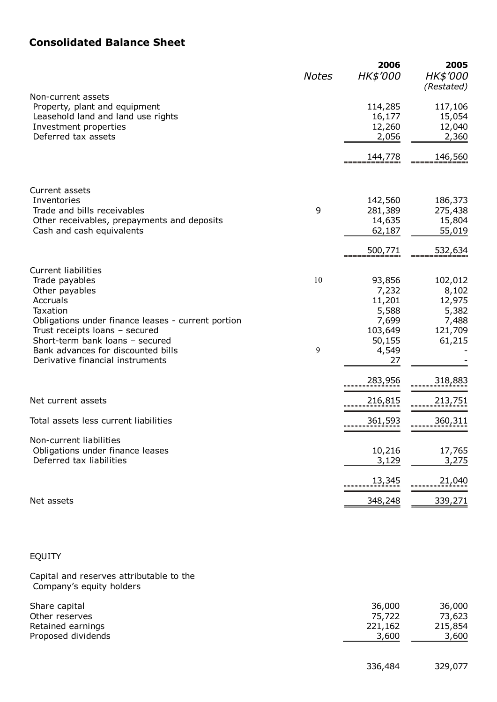# Consolidated Balance Sheet

|                                                                                                                                                                                                   | <b>Notes</b> | 2006<br>HK\$'000                          | 2005<br><b>HK\$'000</b><br>(Restated) |
|---------------------------------------------------------------------------------------------------------------------------------------------------------------------------------------------------|--------------|-------------------------------------------|---------------------------------------|
| Non-current assets<br>Property, plant and equipment<br>Leasehold land and land use rights<br>Investment properties<br>Deferred tax assets                                                         |              | 114,285<br>16,177<br>12,260<br>2,056      | 117,106<br>15,054<br>12,040<br>2,360  |
|                                                                                                                                                                                                   |              | 144,778                                   | 146,560                               |
| Current assets<br>Inventories<br>Trade and bills receivables                                                                                                                                      | 9            | 142,560<br>281,389                        | 186,373<br>275,438                    |
| Other receivables, prepayments and deposits<br>Cash and cash equivalents                                                                                                                          |              | 14,635<br>62,187                          | 15,804<br>55,019                      |
|                                                                                                                                                                                                   |              | 500,771                                   | 532,634                               |
| <b>Current liabilities</b><br>Trade payables<br>Other payables<br>Accruals<br>Taxation                                                                                                            | 10           | 93,856<br>7,232<br>11,201<br>5,588        | 102,012<br>8,102<br>12,975<br>5,382   |
| Obligations under finance leases - current portion<br>Trust receipts loans - secured<br>Short-term bank loans - secured<br>Bank advances for discounted bills<br>Derivative financial instruments | 9            | 7,699<br>103,649<br>50,155<br>4,549<br>27 | 7,488<br>121,709<br>61,215            |
|                                                                                                                                                                                                   |              | 283,956                                   | 318,883                               |
| Net current assets                                                                                                                                                                                |              | 216,815                                   | 213,751                               |
| Total assets less current liabilities                                                                                                                                                             |              | 361,593                                   | 360,311                               |
| Non-current liabilities<br>Obligations under finance leases<br>Deferred tax liabilities                                                                                                           |              | 10,216<br>3,129                           | 17,765<br>3,275                       |
|                                                                                                                                                                                                   |              | 13,345                                    | 21,040                                |
| Net assets                                                                                                                                                                                        |              | 348,248                                   | 339,271                               |

# EQUITY

Capital and reserves attributable to the Company's equity holders

| Share capital      | 36,000  | 36,000  |
|--------------------|---------|---------|
| Other reserves     | 75,722  | 73,623  |
| Retained earnings  | 221,162 | 215,854 |
| Proposed dividends | 3,600   | 3,600   |
|                    |         |         |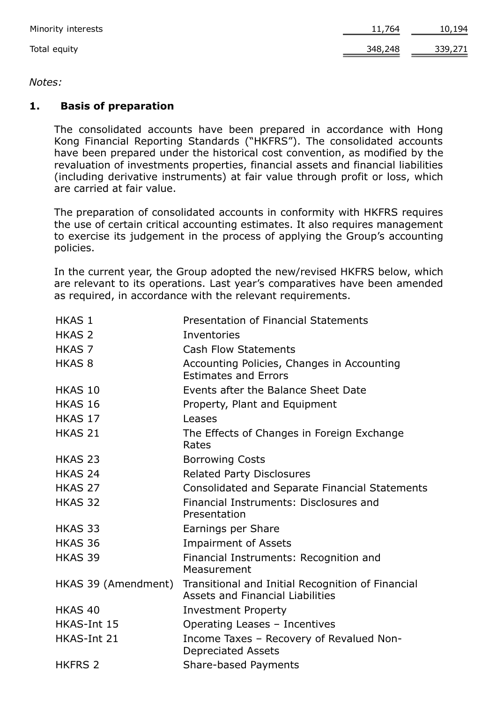| Minority interests | 11,764  | 10,194  |
|--------------------|---------|---------|
| Total equity       | 348,248 | 339,271 |

# *Notes:*

# 1. Basis of preparation

The consolidated accounts have been prepared in accordance with Hong Kong Financial Reporting Standards ("HKFRS"). The consolidated accounts have been prepared under the historical cost convention, as modified by the revaluation of investments properties, financial assets and financial liabilities (including derivative instruments) at fair value through profit or loss, which are carried at fair value.

The preparation of consolidated accounts in conformity with HKFRS requires the use of certain critical accounting estimates. It also requires management to exercise its judgement in the process of applying the Group's accounting policies.

In the current year, the Group adopted the new/revised HKFRS below, which are relevant to its operations. Last year's comparatives have been amended as required, in accordance with the relevant requirements.

| <b>HKAS 1</b>       | <b>Presentation of Financial Statements</b>                                                  |
|---------------------|----------------------------------------------------------------------------------------------|
| <b>HKAS 2</b>       | Inventories                                                                                  |
| <b>HKAS 7</b>       | <b>Cash Flow Statements</b>                                                                  |
| <b>HKAS 8</b>       | Accounting Policies, Changes in Accounting<br><b>Estimates and Errors</b>                    |
| HKAS 10             | Events after the Balance Sheet Date                                                          |
| HKAS 16             | Property, Plant and Equipment                                                                |
| HKAS 17             | Leases                                                                                       |
| HKAS 21             | The Effects of Changes in Foreign Exchange<br>Rates                                          |
| HKAS 23             | <b>Borrowing Costs</b>                                                                       |
| HKAS <sub>24</sub>  | <b>Related Party Disclosures</b>                                                             |
| HKAS <sub>27</sub>  | Consolidated and Separate Financial Statements                                               |
| HKAS 32             | Financial Instruments: Disclosures and<br>Presentation                                       |
| HKAS 33             | Earnings per Share                                                                           |
| HKAS 36             | <b>Impairment of Assets</b>                                                                  |
| HKAS 39             | Financial Instruments: Recognition and<br>Measurement                                        |
| HKAS 39 (Amendment) | Transitional and Initial Recognition of Financial<br><b>Assets and Financial Liabilities</b> |
| HKAS <sub>40</sub>  | <b>Investment Property</b>                                                                   |
| HKAS-Int 15         | Operating Leases - Incentives                                                                |
| HKAS-Int 21         | Income Taxes - Recovery of Revalued Non-<br><b>Depreciated Assets</b>                        |
| <b>HKFRS 2</b>      | Share-based Payments                                                                         |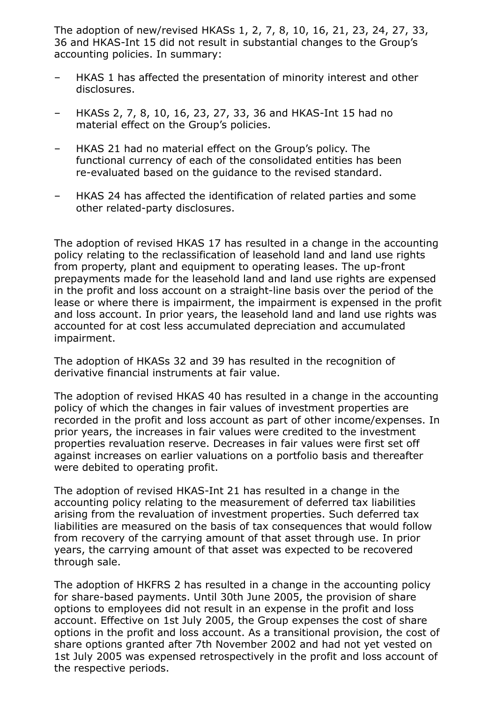The adoption of new/revised HKASs 1, 2, 7, 8, 10, 16, 21, 23, 24, 27, 33, 36 and HKAS-Int 15 did not result in substantial changes to the Group's accounting policies. In summary:

- HKAS 1 has affected the presentation of minority interest and other disclosures.
- HKASs 2, 7, 8, 10, 16, 23, 27, 33, 36 and HKAS-Int 15 had no material effect on the Group's policies.
- HKAS 21 had no material effect on the Group's policy. The functional currency of each of the consolidated entities has been re-evaluated based on the quidance to the revised standard.
- HKAS 24 has affected the identification of related parties and some other related-party disclosures.

The adoption of revised HKAS 17 has resulted in a change in the accounting policy relating to the reclassification of leasehold land and land use rights from property, plant and equipment to operating leases. The up-front prepayments made for the leasehold land and land use rights are expensed in the profit and loss account on a straight-line basis over the period of the lease or where there is impairment, the impairment is expensed in the profit and loss account. In prior years, the leasehold land and land use rights was accounted for at cost less accumulated depreciation and accumulated impairment.

The adoption of HKASs 32 and 39 has resulted in the recognition of derivative financial instruments at fair value.

The adoption of revised HKAS 40 has resulted in a change in the accounting policy of which the changes in fair values of investment properties are recorded in the profit and loss account as part of other income/expenses. In prior years, the increases in fair values were credited to the investment properties revaluation reserve. Decreases in fair values were first set off against increases on earlier valuations on a portfolio basis and thereafter were debited to operating profit.

The adoption of revised HKAS-Int 21 has resulted in a change in the accounting policy relating to the measurement of deferred tax liabilities arising from the revaluation of investment properties. Such deferred tax liabilities are measured on the basis of tax consequences that would follow from recovery of the carrying amount of that asset through use. In prior years, the carrying amount of that asset was expected to be recovered through sale.

The adoption of HKFRS 2 has resulted in a change in the accounting policy for share-based payments. Until 30th June 2005, the provision of share options to employees did not result in an expense in the profit and loss account. Effective on 1st July 2005, the Group expenses the cost of share options in the profit and loss account. As a transitional provision, the cost of share options granted after 7th November 2002 and had not yet vested on 1st July 2005 was expensed retrospectively in the profit and loss account of the respective periods.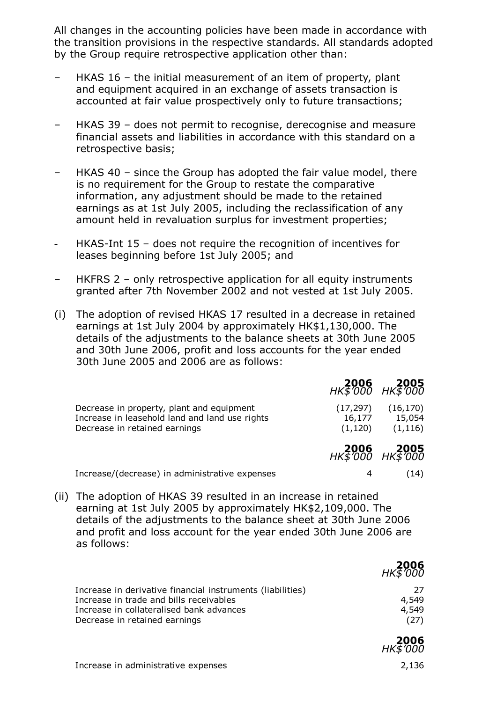All changes in the accounting policies have been made in accordance with the transition provisions in the respective standards. All standards adopted by the Group require retrospective application other than:

- HKAS 16 the initial measurement of an item of property, plant and equipment acquired in an exchange of assets transaction is accounted at fair value prospectively only to future transactions;
- HKAS 39 does not permit to recognise, derecognise and measure financial assets and liabilities in accordance with this standard on a retrospective basis;
- HKAS 40 since the Group has adopted the fair value model, there is no requirement for the Group to restate the comparative information, any adjustment should be made to the retained earnings as at 1st July 2005, including the reclassification of any amount held in revaluation surplus for investment properties;
- HKAS-Int 15 does not require the recognition of incentives for leases beginning before 1st July 2005; and
- HKFRS 2 only retrospective application for all equity instruments granted after 7th November 2002 and not vested at 1st July 2005.
- (i) The adoption of revised HKAS 17 resulted in a decrease in retained earnings at 1st July 2004 by approximately HK\$1,130,000. The details of the adjustments to the balance sheets at 30th June 2005 and 30th June 2006, profit and loss accounts for the year ended 30th June 2005 and 2006 are as follows:

|                                                                                                                              |                                 | <b>2005 2005</b><br>HK\$'000 HK\$'000 |
|------------------------------------------------------------------------------------------------------------------------------|---------------------------------|---------------------------------------|
| Decrease in property, plant and equipment<br>Increase in leasehold land and land use rights<br>Decrease in retained earnings | (17, 297)<br>16,177<br>(1, 120) | (16, 170)<br>15,054<br>(1, 116)       |
|                                                                                                                              |                                 | <b>2005 2005</b><br>HK\$'000 HK\$'000 |
| Increase/(decrease) in administrative expenses                                                                               | 4                               | (14)                                  |

(ii) The adoption of HKAS 39 resulted in an increase in retained earning at 1st July 2005 by approximately HK\$2,109,000. The details of the adjustments to the balance sheet at 30th June 2006 and profit and loss account for the year ended 30th June 2006 are as follows:

|                                                            | <b>2006</b><br>HK\$'000 |
|------------------------------------------------------------|-------------------------|
| Increase in derivative financial instruments (liabilities) | - 27                    |
| Increase in trade and bills receivables                    | 4,549                   |
| Increase in collateralised bank advances                   | 4,549                   |
| Decrease in retained earnings                              | (27)                    |

2006

 $\overline{a}$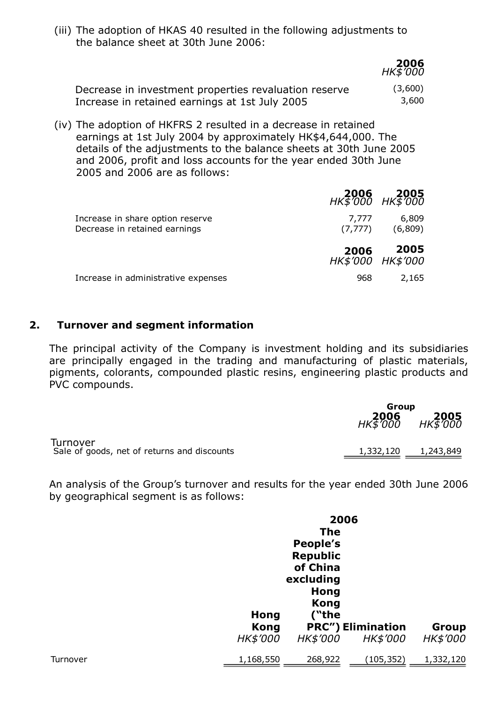(iii) The adoption of HKAS 40 resulted in the following adjustments to the balance sheet at 30th June 2006:

|                                                       | ҤҜӠ҃ӦѸ  |
|-------------------------------------------------------|---------|
| Decrease in investment properties revaluation reserve | (3,600) |
| Increase in retained earnings at 1st July 2005        | 3,600   |

2006

(iv) The adoption of HKFRS 2 resulted in a decrease in retained earnings at 1st July 2004 by approximately HK\$4,644,000. The details of the adjustments to the balance sheets at 30th June 2005 and 2006, profit and loss accounts for the year ended 30th June 2005 and 2006 are as follows:

|                                                                   |                   | <b>2005 2006</b><br>HK\$000 HK\$000 |
|-------------------------------------------------------------------|-------------------|-------------------------------------|
| Increase in share option reserve<br>Decrease in retained earnings | 7,777<br>(7, 777) | 6,809<br>(6,809)                    |
|                                                                   | 2006              | 2005<br>HK\$'000 HK\$'000           |
| Increase in administrative expenses                               | 968               | 2,165                               |

## 2. Turnover and segment information

The principal activity of the Company is investment holding and its subsidiaries are principally engaged in the trading and manufacturing of plastic materials, pigments, colorants, compounded plastic resins, engineering plastic products and PVC compounds.

|                                                         | Group            |                         |  |
|---------------------------------------------------------|------------------|-------------------------|--|
|                                                         | 2006<br>HK\$'000 | <b>2005</b><br>HK\$'000 |  |
| Turnover<br>Sale of goods, net of returns and discounts | 1,332,120        | 1,243,849               |  |

An analysis of the Group's turnover and results for the year ended 30th June 2006 by geographical segment is as follows:

|          |             | 2006            |                          |           |
|----------|-------------|-----------------|--------------------------|-----------|
|          |             | <b>The</b>      |                          |           |
|          |             | People's        |                          |           |
|          |             | <b>Republic</b> |                          |           |
|          |             | of China        |                          |           |
|          |             | excluding       |                          |           |
|          |             | Hong            |                          |           |
|          |             | <b>Kong</b>     |                          |           |
|          | <b>Hong</b> | ("the           |                          |           |
|          | <b>Kong</b> |                 | <b>PRC") Elimination</b> | Group     |
|          | HK\$'000    | HK\$'000        | HK\$'000                 | HK\$'000  |
| Turnover | 1,168,550   | 268,922         | (105, 352)               | 1,332,120 |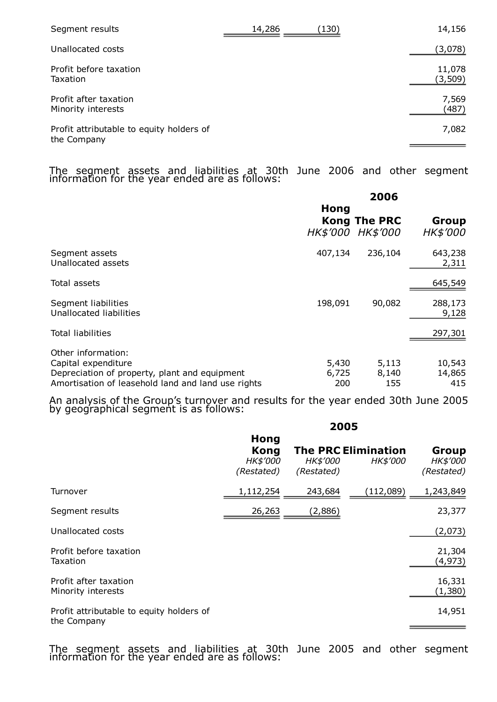| Segment results                                         | 14,286 | (130) | 14,156            |
|---------------------------------------------------------|--------|-------|-------------------|
| Unallocated costs                                       |        |       | (3,078)           |
| Profit before taxation<br>Taxation                      |        |       | 11,078<br>(3,509) |
| Profit after taxation<br>Minority interests             |        |       | 7,569<br>(487)    |
| Profit attributable to equity holders of<br>the Company |        |       | 7,082             |

The segment assets and liabilities at 30th June 2006 and other segment information for the year ended are as follows:

|                                                                                                                                                  | 2006                  |                                          |                          |  |  |
|--------------------------------------------------------------------------------------------------------------------------------------------------|-----------------------|------------------------------------------|--------------------------|--|--|
|                                                                                                                                                  | Hong                  | <b>Kong The PRC</b><br>HK\$'000 HK\$'000 | Group<br><b>HK\$'000</b> |  |  |
| Segment assets<br>Unallocated assets                                                                                                             | 407,134               | 236,104                                  | 643,238<br>2,311         |  |  |
| Total assets                                                                                                                                     |                       |                                          | 645,549                  |  |  |
| Segment liabilities<br>Unallocated liabilities                                                                                                   | 198,091               | 90,082                                   | 288,173<br>9,128         |  |  |
| <b>Total liabilities</b>                                                                                                                         |                       |                                          | 297,301                  |  |  |
| Other information:<br>Capital expenditure<br>Depreciation of property, plant and equipment<br>Amortisation of leasehold land and land use rights | 5,430<br>6,725<br>200 | 5,113<br>8,140<br>155                    | 10,543<br>14,865<br>415  |  |  |

An analysis of the Group's turnover and results for the year ended 30th June 2005 by geographical segment is as follows:

|                                                         |                                                      | 2005                          |                                        |                                 |
|---------------------------------------------------------|------------------------------------------------------|-------------------------------|----------------------------------------|---------------------------------|
|                                                         | <b>Hong</b><br><b>Kong</b><br>HK\$'000<br>(Restated) | <b>HK\$'000</b><br>(Restated) | <b>The PRC Elimination</b><br>HK\$'000 | Group<br>HK\$'000<br>(Restated) |
| Turnover                                                | 1,112,254                                            | 243,684                       | (112,089)                              | 1,243,849                       |
| Segment results                                         | 26,263                                               | (2,886)                       |                                        | 23,377                          |
| Unallocated costs                                       |                                                      |                               |                                        | (2,073)                         |
| Profit before taxation<br>Taxation                      |                                                      |                               |                                        | 21,304<br>(4, 973)              |
| Profit after taxation<br>Minority interests             |                                                      |                               |                                        | 16,331<br>(1,380)               |
| Profit attributable to equity holders of<br>the Company |                                                      |                               |                                        | 14,951                          |

The segment assets and liabilities at 30th June 2005 and other segment information for the year ended are as follows: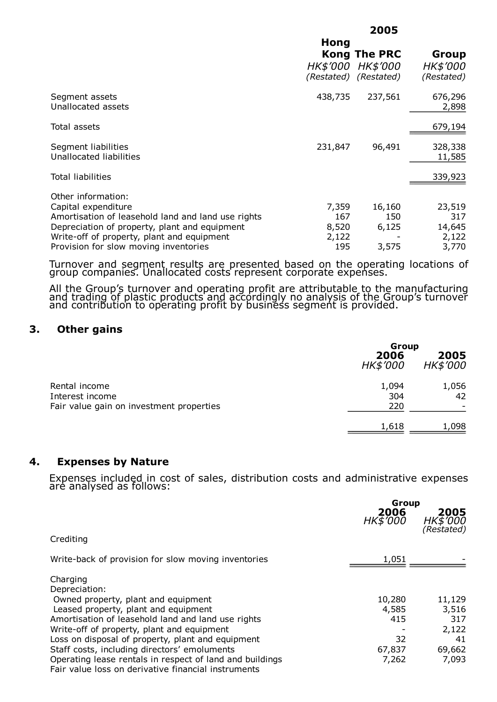|                                                    |                 | 2005                                                            |                                        |
|----------------------------------------------------|-----------------|-----------------------------------------------------------------|----------------------------------------|
|                                                    | Hong            |                                                                 |                                        |
|                                                    | <b>HK\$'000</b> | <b>Kong The PRC</b><br><i>HK\$'000</i><br>(Restated) (Restated) | Group<br><b>HK\$'000</b><br>(Restated) |
| Segment assets<br>Unallocated assets               | 438,735         | 237,561                                                         | 676,296<br>2,898                       |
| Total assets                                       |                 |                                                                 | 679,194                                |
| Segment liabilities<br>Unallocated liabilities     | 231,847         | 96,491                                                          | 328,338<br>11,585                      |
| <b>Total liabilities</b>                           |                 |                                                                 | 339,923                                |
| Other information:                                 |                 |                                                                 |                                        |
| Capital expenditure                                | 7,359           | 16,160                                                          | 23,519                                 |
| Amortisation of leasehold land and land use rights | 167             | 150                                                             | 317                                    |
| Depreciation of property, plant and equipment      | 8,520           | 6,125                                                           | 14,645                                 |
| Write-off of property, plant and equipment         | 2,122           |                                                                 | 2,122                                  |
| Provision for slow moving inventories              | 195             | 3,575                                                           | 3,770                                  |

Turnover and segment results are presented based on the operating locations of group companies. Unallocated costs represent corporate expenses.

All the Group's turnover and operating profit are attributable to the manufacturing and trading of plastic products and accordingly no analysis of the Group's turnover and contribution to operating profit by business segment is provided.

### 3. Other gains

|                                                                              | Group                   |                         |
|------------------------------------------------------------------------------|-------------------------|-------------------------|
|                                                                              | 2006<br><b>HK\$'000</b> | 2005<br><i>HK\$'000</i> |
| Rental income<br>Interest income<br>Fair value gain on investment properties | 1,094<br>304<br>220     | 1,056<br>42             |
|                                                                              | 1,618                   | 1,098                   |

### 4. Expenses by Nature

Expenses included in cost of sales, distribution costs and administrative expenses are analysed as follows:

|                                                                                                                 | Group<br>2006<br><b>НК\$ 000</b> | <b>2005</b><br>HK\$'000<br>(Restated) |
|-----------------------------------------------------------------------------------------------------------------|----------------------------------|---------------------------------------|
| Crediting                                                                                                       |                                  |                                       |
| Write-back of provision for slow moving inventories                                                             | 1,051                            |                                       |
| Charging<br>Depreciation:                                                                                       |                                  |                                       |
| Owned property, plant and equipment<br>Leased property, plant and equipment                                     | 10,280<br>4,585                  | 11,129<br>3,516                       |
| Amortisation of leasehold land and land use rights                                                              | 415                              | 317                                   |
| Write-off of property, plant and equipment<br>Loss on disposal of property, plant and equipment                 | 32                               | 2,122<br>41                           |
| Staff costs, including directors' emoluments                                                                    | 67,837                           | 69,662                                |
| Operating lease rentals in respect of land and buildings<br>Fair value loss on derivative financial instruments | 7,262                            | 7,093                                 |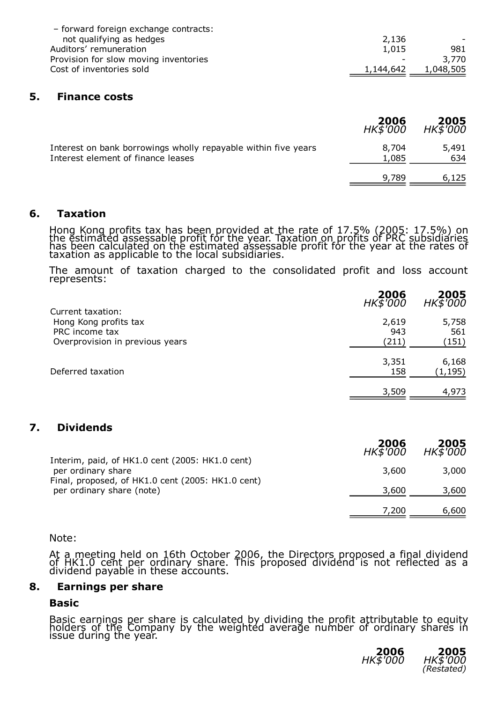| - forward foreign exchange contracts: |           |           |
|---------------------------------------|-----------|-----------|
| not qualifying as hedges              | 2,136     |           |
| Auditors' remuneration                | 1,015     | 981       |
| Provision for slow moving inventories |           | 3.770     |
| Cost of inventories sold              | 1,144,642 | 1,048,505 |

#### 5. Finance costs

|                                                                                                      | <b>2006</b><br>HK\$'000 | <b>2005</b><br>HK\$'000 |
|------------------------------------------------------------------------------------------------------|-------------------------|-------------------------|
| Interest on bank borrowings wholly repayable within five years<br>Interest element of finance leases | 8,704<br>1,085          | 5,491<br>634            |
|                                                                                                      | 9.789                   | 6,125                   |

#### 6. Taxation

Hong Kong profits tax has been provided at the rate of 17.5% (2005: 17.5%) on the estimated assessable profit for the year. Taxation on profits of PRC subsidiaries has been calculated on the estimated assessable profit for the year at the rates of taxation as applicable to the local subsidiaries.

The amount of taxation charged to the consolidated profit and loss account represents:

| Current taxation:                                 | 2006<br>HK\$'000 | <b>2005</b><br>HK\$'000 |
|---------------------------------------------------|------------------|-------------------------|
| Hong Kong profits tax                             | 2,619            | 5,758                   |
| PRC income tax<br>Overprovision in previous years | 943<br>(211)     | 561<br>(151)            |
|                                                   | 3,351            | 6,168                   |
| Deferred taxation                                 | 158              | (1, 195)                |
|                                                   | 3,509            | 4,973                   |

# 7. Dividends

| Interim, paid, of HK1.0 cent (2005: HK1.0 cent)                         | 2006<br>HK\$'000 | <b>2005</b><br>HK\$'000 |
|-------------------------------------------------------------------------|------------------|-------------------------|
| per ordinary share<br>Final, proposed, of HK1.0 cent (2005: HK1.0 cent) | 3,600            | 3,000                   |
| per ordinary share (note)                                               | 3,600            | 3,600                   |
|                                                                         | 7.200            | 6,600                   |

#### Note:

At a meeting held on 16th October 2006, the Directors proposed a final dividend of HK1.0 cent per ordinary share. This proposed dividend is not reflected as a dividend payable in these accounts.

#### 8. Earnings per share

#### Basic

Basic earnings per share is calculated by dividing the profit attributable to equity holders of the Company by the weighted average number of ordinary shares in issue during the year.

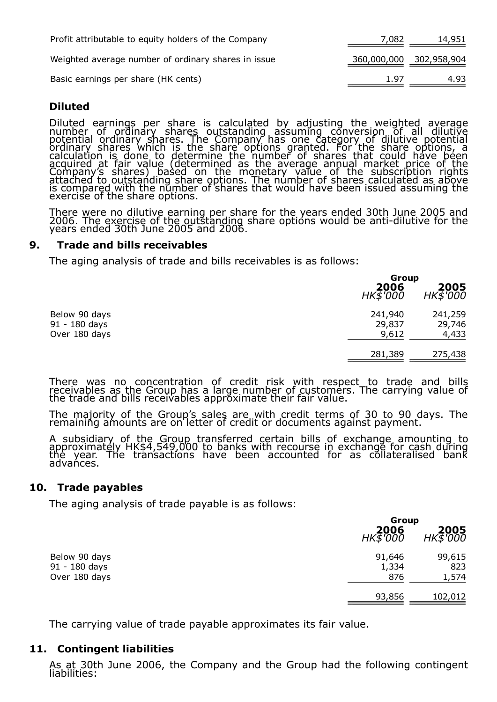| Profit attributable to equity holders of the Company | 7,082 | 14,951                  |
|------------------------------------------------------|-------|-------------------------|
| Weighted average number of ordinary shares in issue  |       | 360,000,000 302,958,904 |
| Basic earnings per share (HK cents)                  | 1.97  | 4.93                    |

# Diluted

Diluted earnings per share is calculated by adjusting the weighted average number of ordinary shares outstanding assuming conversion of all dilutive potential ordinary shares. The Company has one category of dilutive potential ordinary shares which is the share options granted. For the share options, a calculation is done to determine the number of shares that could have been acquired at fair value (determined as the average annual market price of the Company's shares) based on the monetary value of the subscription rights attached to outstanding share options. The number of shares calculated as above is compared with the number of shares that would have been issued assuming the exercise of the share options.

There were no dilutive earning per share for the years ended 30th June 2005 and 2006. The exercise of the outstanding share options would be anti-dilutive for the years ended 30th June 2005 and 2006.

### 9. Trade and bills receivables

The aging analysis of trade and bills receivables is as follows:

|                                                 |                            | Group                      |  |
|-------------------------------------------------|----------------------------|----------------------------|--|
|                                                 | 2006<br><i>HK\$'000</i>    | 2005<br>$HK\bar{5}$ $000$  |  |
| Below 90 days<br>91 - 180 days<br>Over 180 days | 241,940<br>29,837<br>9,612 | 241,259<br>29,746<br>4,433 |  |
|                                                 | 281,389                    | 275,438                    |  |

There was no concentration of credit risk with respect to trade and bills receivables as the Group has a large number of customers. The carrying value of the trade and bills receivables approximate their fair value.

The majority of the Group's sales are with credit terms of 30 to 90 days. The remaining amounts are on letter of credit or documents against payment.

A subsidiary of the Group transferred certain bills of exchange amounting to approximately HK\$4,549,000 to banks with recourse in exchange for cash during the year. The transactions have been accounted for as collateralised bank advańces.

#### 10. Trade payables

The aging analysis of trade payable is as follows:

|                                                 |                           | Group                     |  |
|-------------------------------------------------|---------------------------|---------------------------|--|
|                                                 | 2006<br>$HK\bar{5}$ $000$ | 2005<br>$HK\bar{5}$ $000$ |  |
| Below 90 days<br>91 - 180 days<br>Over 180 days | 91,646<br>1,334<br>876    | 99,615<br>823<br>1,574    |  |
|                                                 | 93,856                    | 102,012                   |  |

The carrying value of trade payable approximates its fair value.

### 11. Contingent liabilities

As at 30th June 2006, the Company and the Group had the following contingent liabilities: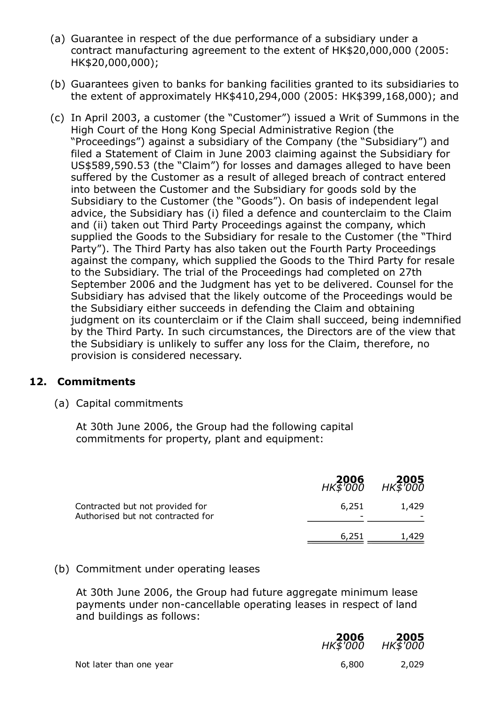- (a) Guarantee in respect of the due performance of a subsidiary under a contract manufacturing agreement to the extent of HK\$20,000,000 (2005: HK\$20,000,000);
- (b) Guarantees given to banks for banking facilities granted to its subsidiaries to the extent of approximately HK\$410,294,000 (2005: HK\$399,168,000); and
- (c) In April 2003, a customer (the "Customer") issued a Writ of Summons in the High Court of the Hong Kong Special Administrative Region (the "Proceedings") against a subsidiary of the Company (the "Subsidiary") and filed a Statement of Claim in June 2003 claiming against the Subsidiary for US\$589,590.53 (the "Claim") for losses and damages alleged to have been suffered by the Customer as a result of alleged breach of contract entered into between the Customer and the Subsidiary for goods sold by the Subsidiary to the Customer (the "Goods"). On basis of independent legal advice, the Subsidiary has (i) filed a defence and counterclaim to the Claim and (ii) taken out Third Party Proceedings against the company, which supplied the Goods to the Subsidiary for resale to the Customer (the "Third Party"). The Third Party has also taken out the Fourth Party Proceedings against the company, which supplied the Goods to the Third Party for resale to the Subsidiary. The trial of the Proceedings had completed on 27th September 2006 and the Judgment has yet to be delivered. Counsel for the Subsidiary has advised that the likely outcome of the Proceedings would be the Subsidiary either succeeds in defending the Claim and obtaining judgment on its counterclaim or if the Claim shall succeed, being indemnified by the Third Party. In such circumstances, the Directors are of the view that the Subsidiary is unlikely to suffer any loss for the Claim, therefore, no provision is considered necessary.

# 12. Commitments

liabilities:

(a) Capital commitments

At 30th June 2006, the Group had the following capital commitments for property, plant and equipment:

|                                                                      | <b>2006</b><br>HK\$'000 | 2005<br>HK\$'000 |
|----------------------------------------------------------------------|-------------------------|------------------|
| Contracted but not provided for<br>Authorised but not contracted for | 6,251<br>-              | 1,429            |
|                                                                      | 6,251                   | 1,429            |

# (b) Commitment under operating leases

At 30th June 2006, the Group had future aggregate minimum lease payments under non-cancellable operating leases in respect of land and buildings as follows:

|                         | <b>2006</b><br>HK\$'000 | $HK\frac{2005}{6000}$ |
|-------------------------|-------------------------|-----------------------|
| Not later than one year | 6.800                   | 2,029                 |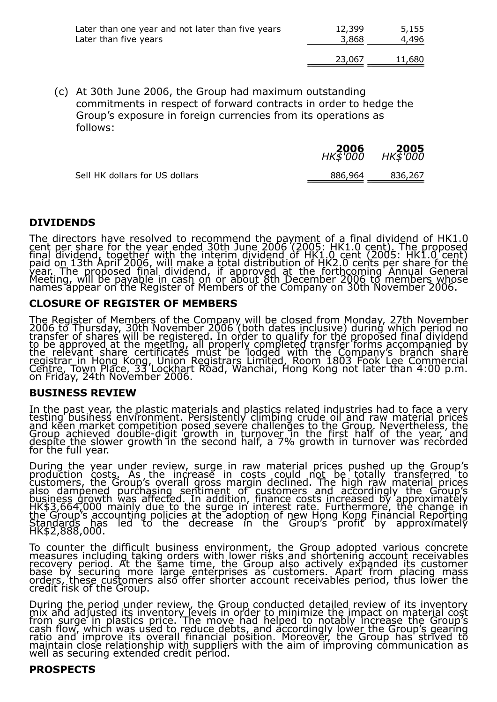| Later than one year and not later than five years | 12,399 | 5,155  |
|---------------------------------------------------|--------|--------|
| Later than five years                             | 3,868  | 4,496  |
|                                                   | 23,067 | 11,680 |

(c) At 30th June 2006, the Group had maximum outstanding commitments in respect of forward contracts in order to hedge the Group's exposure in foreign currencies from its operations as follows:

|                                | <b>2006</b><br>HK\$'000 | 2005<br>HK\$'000 |
|--------------------------------|-------------------------|------------------|
| Sell HK dollars for US dollars | 886,964                 | 836,267          |

### DIVIDENDS

The directors have resolved to recommend the payment of a final dividend of HK1.0 cent per share for the year ended 30th June 2006 (2005: HK1.0 cent). The proposed final dividend, together with the interim dividend of HK1.0 cent (2005: HK1.0 cent) paid on 13th April 2006, will make a total distribution of HK2.0 cents per share for the year. The proposed final dividend, if approved at the forthcoming Annual General Meeting, will be payable in cash on or about 8th December 2006 to members whose names appear on the Register of Members of the Company on 30th November 2006.

#### CLOSURE OF REGISTER OF MEMBERS

The Register of Members of the Company will be closed from Monday, 27th November 2006 to Thursday, 30th November 2006 (both dates inclusive) during which period no transfer of shares will be registered. In order to qualify for the proposed final dividend to be approved at the meeting, all properly completed transfer forms accompanied by the relevant share certificates must be lodged with the Company's branch share registrar in Hong Kong, Union Registrars Limited, Room 1803 Fook Lee Commercial Centre, Town Place, 33 Lockhart Road, Wanchai, Hong Kong not later than 4:00 p.m. on Friday, 24th November 2006.

#### BUSINESS REVIEW

In the past year, the plastic materials and plastics related industries had to face a very testing business environment. Persistently climbing crude oil and raw material prices and keen market competition posed severe challenges to the Group. Nevertheless, the Group achieved double-digit growth in turnover in the first half of the year, and despite the slower growth in the second half, a 7% growth in turnover was recorded for the full year.

During the year under review, surge in raw material prices pushed up the Group's production costs. As the increase in costs could not be totally transferred to customers, the Group's overall gross margin declined. The high raw material prices also dampened purchasing sentiment of customers and accordingly the Group's business growth was affected. In addition, finance costs increased by approximately HK\$3,664,000 mainly due to the surge in interest rate. Furthermore, the change in the Group's accounting policies at the adoption of new Hong Kong Financial Reporting Standards has led to the decrease in the Group's profit by approximately HK\$2,888,000.

To counter the difficult business environment, the Group adopted various concrete measures including taking orders with lower risks and shortening account receivables recovery period. At the same time, the Group also actively expanded its customer base by securing more large enterprises as customers. Apart from placing mass orders, these customers also offer shorter account receivables period, thus lower the credit risk of the Group.

During the period under review, the Group conducted detailed review of its inventory mix and adjusted its inventory levels in order to minimize the impact on material cost from surge in plastics price. The move had helped to notably increase the Group's cash flow, which was used to reduce debts, and accordingly lower the Group's gearing ratio and improve its overall financial position. Moreover, the Group has strived to maintain close relationship with suppliers with the aim of improving communication as well as securing extended credit period.

### PROSPECTS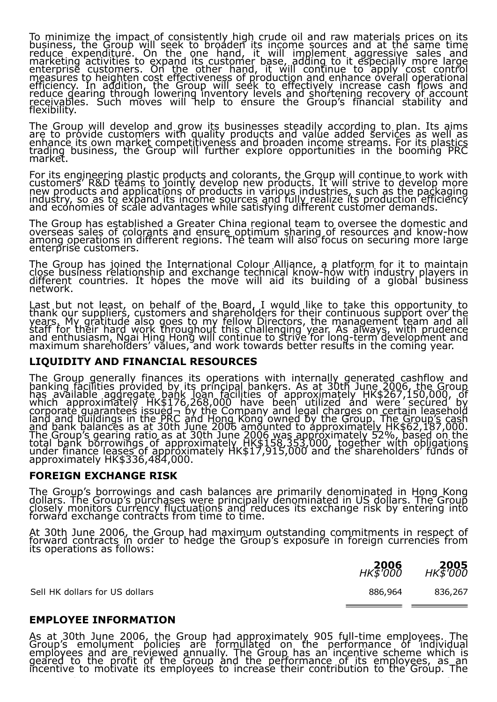To minimize the impact of consistently high crude oil and raw materials prices on its business, the Group will seek to broaden its income sources and at the same time reduce expenditure. On the one hand, it will implement aggressive sales and marketing activities to expand its customer base, adding to it especially more large enterprise customers. On the other hand, it will continue to apply cost control measures to heighten cost effectiveness of production and enhance overall operational efficiency. In addition, the Group will seek to effectively increase cash flows and reduce gearing through lowering inventory levels and shortening recovery of account receivables. Such moves will help to ensure the Group's financial stability and flexibility.

The Group will develop and grow its businesses steadily according to plan. Its aims are to provide customers with quality products and value added services as well as enhance its own market competitiveness and broaden income streams. For its plastics trading business, the Group will further explore opportunities in the booming PRC market.

For its engineering plastic products and colorants, the Group will continue to work with customers' R&D teams to jointly develop new products. It will strive to develop more new products and applications of products in various industries, such as the packaging industry, so as to expand its income sources and fully realize its production efficiency and economies of scale advantages while satisfying different customer demands.

The Group has established a Greater China regional team to oversee the domestic and overseas sales of colorants and ensure optimum sharing of resources and know-how among operations in different regions. The team will also focus on securing more large enterprise customers.

The Group has joined the International Colour Alliance, a platform for it to maintain close business relationship and exchange technical knowhow with industry players in different countries. It hopes the move will aid its building of a global business network.

Last but not least, on behalf of the Board, I would like to take this opportunity to thank our suppliers, customers and shareholders for their continuous support over the years. My gratitude also goes to my fellow Directors, the management team and all staff for their hard work throughout this challenging year. As always, with prudence and enthusiasm, Ngai Hing Hong will continue to strive for longterm development and maximum shareholders' values, and work towards better results in the coming year.

### LIQUIDITY AND FINANCIAL RESOURCES

The Group generally finances its operations with internally generated cashflow and banking facilities provided by its principal bankers. As at 30th June 2006, the Group has available aggregate bank loan facilities of approximately HK\$267,150,000, of which approximately HK\$176,268,000 have been utilized and were secured by corporate guarantees issued¬ by the Company and legal charges on certain leasehold land and buildings in the PRC and Hong Kong owned by the Group. The Group's cash and bank balances as at 30th June 2006 amounted to approximately HK\$62,187,000. The Group's gearing ratio as at 30th June 2006 was approximately 52%, based on the total bank borrowings of approximately HK\$158,353,000, together with obligations under finance leases of approximately HK\$17,915,000 and the shareholders' funds of approximately HK\$336,484,000.

#### FOREIGN EXCHANGE RISK

The Group's borrowings and cash balances are primarily denominated in Hong Kong dollars. The Group's purchases were principally denominated in US dollars. The Group closely monitors currency fluctuations and reduces its exchange risk by entering into forward exchange contracts from time to time.

At 30th June 2006, the Group had maximum outstanding commitments in respect of forward contracts in order to hedge the Group's exposure in foreign currencies from its operations as follows:

| 2006     | 2005     |
|----------|----------|
| HK\$'000 | HK\$'000 |

Sell HK dollars for US dollars 886,964 836,267

# EMPLOYEE INFORMATION

As at 30th June 2006, the Group had approximately 905 full-time employees. The Group's emolument policies are formulated on the performance of individual employees and are reviewed annually. The Group has an incentive scheme which is geared to the profit of the Group and the performance of its employees, as an incentive to motivate its employees to increase their contribution to the Group. The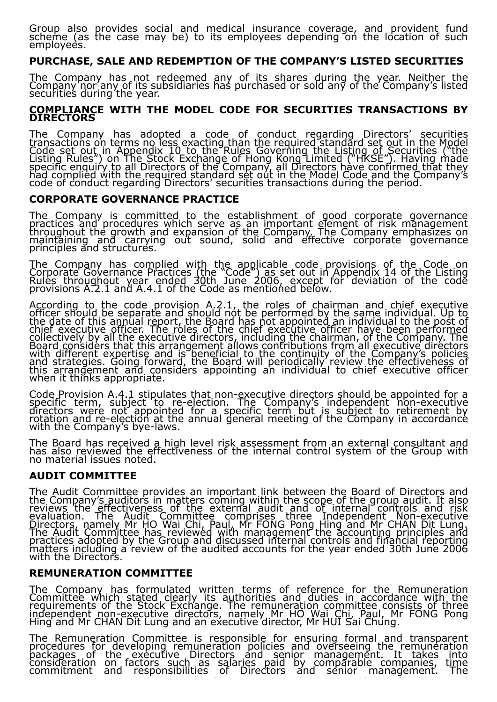Group also provides social and medical insurance coverage, and provident fund scheme (as the case may be) to its employees depending on the location of such employees.

### PURCHASE, SALE AND REDEMPTION OF THE COMPANY'S LISTED SECURITIES

The Company has not redeemed any of its shares during the year. Neither the Company nor any of its subsidiaries has purchased or sold any of the Company's listed securities during the year.

#### <u>COMPLIAN</u>CE WITH THE MODEL CODE FOR SECURITIES TRANSACTIONS BY DIRECTORS

The Company has adopted a code of conduct regarding Directors' securities transactions on terms no less exacting than the required standard set out in the Model Code set out in Appendix 10 to the Rules Governing the Listing of Securities ("the Listing Rules") on The Stock Exchange of Hong Kong Limited ("HKSE"). Having made specific enquiry to all Directors of the Company, all Directors have confirmed that they had complied with the required standard set out in the Model Code and the Company's code of conduct regarding Directors' securities transactions during the period.

#### CORPORATE GOVERNANCE PRACTICE

The Company is committed to the establishment of good corporate governance practices and procedures which serve as an important element of risk management throughout the growth and expansion of the Company. The Company emphasizes on maintaining and carrying out sound, solid and effective corporate governance principles and structures.

The Company has complied with the applicable code provisions of the Code on Corporate Governance Practices (the "Code") as set out in Appendix 14 of the Listing Rules throughout year ended 30th June 2006, except for deviation of the code provisions A.2.1 and A.4.1 of the Code as mentioned below.

According to the code provision A.2.1, the roles of chairman and chief executive officer should be separate and should not be performed by the same individual. Up to the date of this annual report, the Board has not appointed an individual to the post of chief executive officer. The roles of the chief executive officer have been performed collectively by all the executive directors, including the chairman, of the Company. The Board considers that this arrangement allows contributions from all executive directors with different expertise and is beneficial to the continuity of the Company's policies and strategies. Going forward, the Board will periodically review the effectiveness of this arrangement and considers appointing an individual to chief executive officer when it thinks appropriate.

Code Provision A.4.1 stipulates that non-executive directors should be appointed for a specific term, subject to re-election. The Company's independent non-executive directors were not appointed for a specific term but is subject to retirement by rotation and re-election at the annual general meeting of the Company in accordance with the Company's bye-laws.

The Board has received a high level risk assessment from an external consultant and has also reviewed the effectiveness of the internal control system of the Group with no material issues noted.

### AUDIT COMMITTEE

The Audit Committee provides an important link between the Board of Directors and the Company's auditors in matters coming within the scope of the group audit. It also reviews the effectiveness of the external audit and of internal controls and risk evaluation. The Audit Committee comprises three Independent Nonexecutive Directors, namely Mr HO Wai Chi, Paul, Mr FONG Pong Hing and Mr CHAN Dit Lung. The Audit Committee has reviewed with management the accounting principles and practices adopted by the Group and discussed internal controls and financial reporting matters including a review of the audited accounts for the year ended 30th June 2006 with the Directors.

### REMUNERATION COMMITTEE

The Company has formulated written terms of reference for the Remuneration Committee which stated clearly its authorities and duties in accordance with the requirements of the Stock Exchange. The remuneration committee consists of three independent nonexecutive directors, namely Mr HO Wai Chi, Paul, Mr FONG Pong Hing and Mr CHAN Dit Lung and an executive director, Mr HUI Sai Chung.

The Remuneration Committee is responsible for ensuring formal and transparent procedures for developing remuneration policies and overseeing the remuneration packages of the executive Directors and senior management. It takes into consideration on factors such as salaries paid by comparable companies, time commitment and responsibilities of Directors and senior management. The